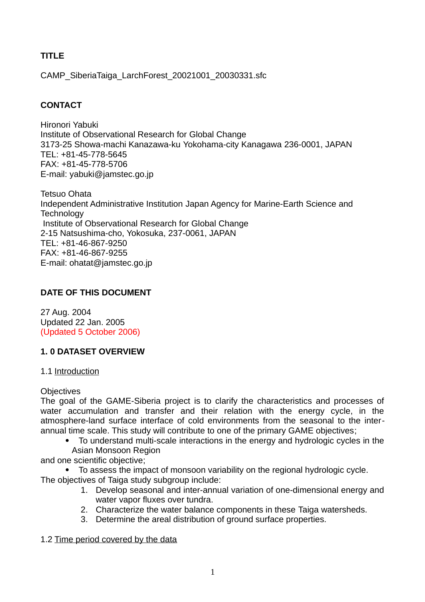# **TITLE**

CAMP\_SiberiaTaiga\_LarchForest\_20021001\_20030331.sfc

# **CONTACT**

Hironori Yabuki Institute of Observational Research for Global Change 3173-25 Showa-machi Kanazawa-ku Yokohama-city Kanagawa 236-0001, JAPAN TEL: +81-45-778-5645 FAX: +81-45-778-5706 E-mail: yabuki@jamstec.go.jp

Tetsuo Ohata Independent Administrative Institution Japan Agency for Marine-Earth Science and **Technology** Institute of Observational Research for Global Change 2-15 Natsushima-cho, Yokosuka, 237-0061, JAPAN  $TFI: +81-46-867-9250$ FAX: +81-46-867-9255 E-mail: ohatat@jamstec.go.jp

# **DATE OF THIS DOCUMENT**

27 Aug. 2004 Updated 22 Jan. 2005 (Updated 5 October 2006)

# **1. 0 DATASET OVERVIEW**

# 1.1 Introduction

# **Objectives**

The goal of the GAME-Siberia project is to clarify the characteristics and processes of water accumulation and transfer and their relation with the energy cycle, in the atmosphere-land surface interface of cold environments from the seasonal to the interannual time scale. This study will contribute to one of the primary GAME objectives;

 To understand multi-scale interactions in the energy and hydrologic cycles in the Asian Monsoon Region

and one scientific objective;

- To assess the impact of monsoon variability on the regional hydrologic cycle. The objectives of Taiga study subgroup include:
	- 1. Develop seasonal and inter-annual variation of one-dimensional energy and water vapor fluxes over tundra.
	- 2. Characterize the water balance components in these Taiga watersheds.
	- 3. Determine the areal distribution of ground surface properties.

# 1.2 Time period covered by the data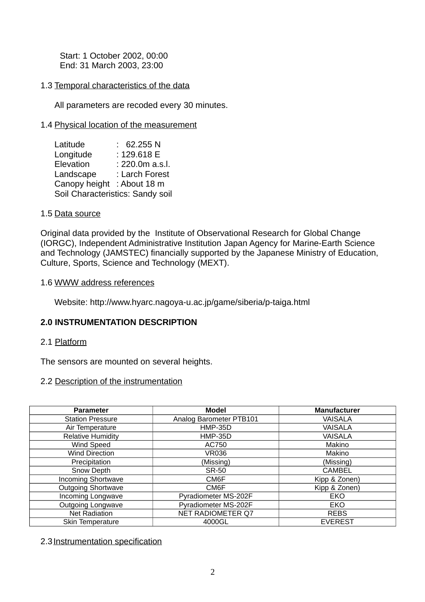Start: 1 October 2002, 00:00 End: 31 March 2003, 23:00

## 1.3 Temporal characteristics of the data

All parameters are recoded every 30 minutes.

## 1.4 Physical location of the measurement

| Latitude                         | 62.255 N        |  |
|----------------------------------|-----------------|--|
| Longitude                        | : 129.618 E     |  |
| Elevation                        | : 220.0m a.s.l. |  |
| Landscape                        | : Larch Forest  |  |
| Canopy height                    | : About 18 m    |  |
| Soil Characteristics: Sandy soil |                 |  |

#### 1.5 Data source

Original data provided by the Institute of Observational Research for Global Change (IORGC), Independent Administrative Institution Japan Agency for Marine-Earth Science and Technology (JAMSTEC) financially supported by the Japanese Ministry of Education, Culture, Sports, Science and Technology (MEXT).

#### 1.6 WWW address references

Website: http://www.hyarc.nagoya-u.ac.jp/game/siberia/p-taiga.html

## **2.0 INSTRUMENTATION DESCRIPTION**

#### 2.1 Platform

The sensors are mounted on several heights.

## 2.2 Description of the instrumentation

| <b>Parameter</b>          | <b>Model</b>             | <b>Manufacturer</b> |
|---------------------------|--------------------------|---------------------|
| <b>Station Pressure</b>   | Analog Barometer PTB101  | <b>VAISALA</b>      |
| Air Temperature           | <b>HMP-35D</b>           | <b>VAISALA</b>      |
| <b>Relative Humidity</b>  | <b>HMP-35D</b>           | <b>VAISALA</b>      |
| Wind Speed                | AC750                    | Makino              |
| <b>Wind Direction</b>     | <b>VR036</b>             | Makino              |
| Precipitation             | (Missing)                | (Missing)           |
| Snow Depth                | <b>SR-50</b>             | <b>CAMBEL</b>       |
| <b>Incoming Shortwave</b> | CM6F                     | Kipp & Zonen)       |
| <b>Outgoing Shortwave</b> | CM6F                     | Kipp & Zonen)       |
| Incoming Longwave         | Pyradiometer MS-202F     | EKO                 |
| <b>Outgoing Longwave</b>  | Pyradiometer MS-202F     | EKO                 |
| <b>Net Radiation</b>      | <b>NET RADIOMETER Q7</b> | <b>REBS</b>         |
| Skin Temperature          | 4000GL                   | <b>EVEREST</b>      |

#### 2.3 Instrumentation specification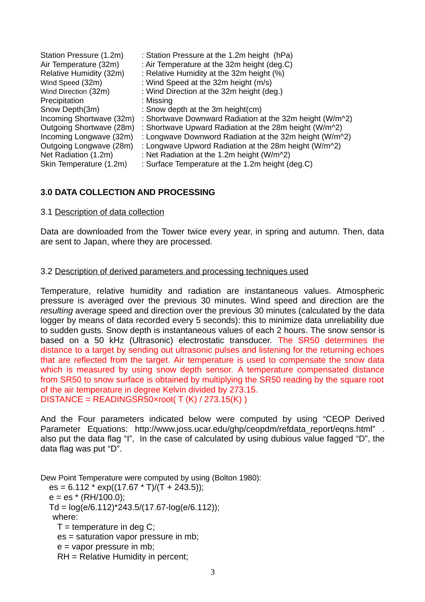| Station Pressure (1.2m)  | : Station Pressure at the 1.2m height (hPa)                         |
|--------------------------|---------------------------------------------------------------------|
| Air Temperature (32m)    | : Air Temperature at the 32m height (deg.C)                         |
| Relative Humidity (32m)  | : Relative Humidity at the 32m height (%)                           |
| Wind Speed (32m)         | : Wind Speed at the 32m height (m/s)                                |
| Wind Direction (32m)     | : Wind Direction at the 32m height (deg.)                           |
| Precipitation            | : Missing                                                           |
| Snow Depth(3m)           | : Snow depth at the 3m height(cm)                                   |
| Incoming Shortwave (32m) | : Shortwave Downward Radiation at the 32m height (W/m^2)            |
| Outgoing Shortwave (28m) | : Shortwave Upward Radiation at the 28m height (W/m <sup>22</sup> ) |
| Incoming Longwave (32m)  | : Longwave Downword Radiation at the 32m height (W/m^2)             |
| Outgoing Longwave (28m)  | : Longwave Upword Radiation at the 28m height (W/m^2)               |
| Net Radiation (1.2m)     | : Net Radiation at the 1.2m height (W/m^2)                          |
| Skin Temperature (1.2m)  | : Surface Temperature at the 1.2m height (deg.C)                    |

## **3.0 DATA COLLECTION AND PROCESSING**

#### 3.1 Description of data collection

Data are downloaded from the Tower twice every year, in spring and autumn. Then, data are sent to Japan, where they are processed.

#### 3.2 Description of derived parameters and processing techniques used

Temperature, relative humidity and radiation are instantaneous values. Atmospheric pressure is averaged over the previous 30 minutes. Wind speed and direction are the *resulting* average speed and direction over the previous 30 minutes (calculated by the data logger by means of data recorded every 5 seconds): this to minimize data unreliability due to sudden gusts. Snow depth is instantaneous values of each 2 hours. The snow sensor is based on a 50 kHz (Ultrasonic) electrostatic transducer. The SR50 determines the distance to a target by sending out ultrasonic pulses and listening for the returning echoes that are reflected from the target. Air temperature is used to compensate the snow data which is measured by using snow depth sensor. A temperature compensated distance from SR50 to snow surface is obtained by multiplying the SR50 reading by the square root of the air temperature in degree Kelvin divided by 273.15. DISTANCE = READINGSR50×root(  $T(K)$  / 273.15(K))

And the Four parameters indicated below were computed by using "CEOP Derived Parameter Equations: http://www.joss.ucar.edu/ghp/ceopdm/refdata\_report/eqns.html" also put the data flag "I", In the case of calculated by using dubious value fagged "D", the data flag was put "D".

Dew Point Temperature were computed by using (Bolton 1980): es = 6.112 \* exp((17.67 \* T)/(T + 243.5));  $e = es * (RH/100.0);$ Td =  $log(e/6.112)$ \*243.5/(17.67- $log(e/6.112)$ ); where:  $T =$  temperature in deg C; es = saturation vapor pressure in mb; e = vapor pressure in mb; RH = Relative Humidity in percent;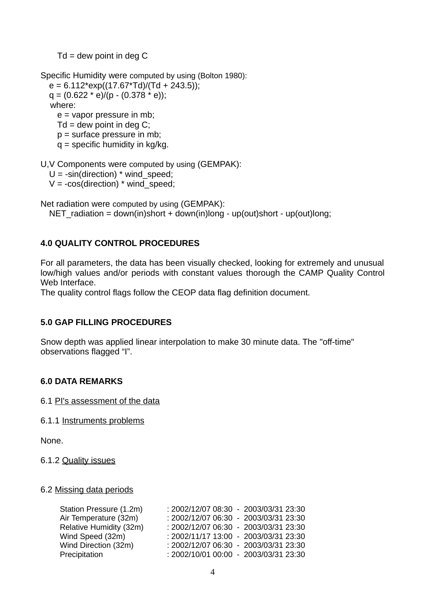$Td =$  dew point in deg C

Specific Humidity were computed by using (Bolton 1980):  $e = 6.112*exp((17.67*Td)/(Td + 243.5));$  $q = (0.622 * e)/(p - (0.378 * e))$ ; where: e = vapor pressure in mb;  $Td =$  dew point in deg C; p = surface pressure in mb;  $q =$  specific humidity in kg/kg.

U,V Components were computed by using (GEMPAK):

 $U = -sin(direction)*wind speed;$ 

 $V = -\cos(direction) * wind speed;$ 

Net radiation were computed by using (GEMPAK):

NET radiation = down(in)short + down(in)long - up(out)short - up(out)long;

# **4.0 QUALITY CONTROL PROCEDURES**

For all parameters, the data has been visually checked, looking for extremely and unusual low/high values and/or periods with constant values thorough the CAMP Quality Control Web Interface.

The quality control flags follow the CEOP data flag definition document.

## **5.0 GAP FILLING PROCEDURES**

Snow depth was applied linear interpolation to make 30 minute data. The "off-time" observations flagged "I".

#### **6.0 DATA REMARKS**

6.1 PI's assessment of the data

6.1.1 Instruments problems

None.

6.1.2 Quality issues

#### 6.2 Missing data periods

| Station Pressure (1.2m) | : 2002/12/07 08:30 - 2003/03/31 23:30 |
|-------------------------|---------------------------------------|
| Air Temperature (32m)   | : 2002/12/07 06:30 - 2003/03/31 23:30 |
| Relative Humidity (32m) | : 2002/12/07 06:30 - 2003/03/31 23:30 |
| Wind Speed (32m)        | : 2002/11/17 13:00 - 2003/03/31 23:30 |
| Wind Direction (32m)    | : 2002/12/07 06:30 - 2003/03/31 23:30 |
| Precipitation           | : 2002/10/01 00:00 - 2003/03/31 23:30 |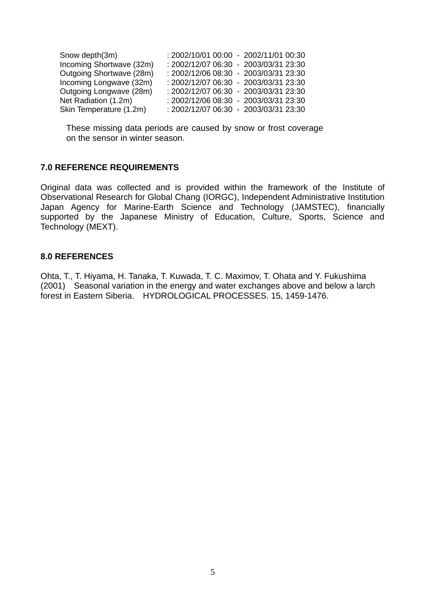| Snow depth(3m)           | : 2002/10/01 00:00 - 2002/11/01 00:30 |
|--------------------------|---------------------------------------|
| Incoming Shortwave (32m) | : 2002/12/07 06:30 - 2003/03/31 23:30 |
| Outgoing Shortwave (28m) | : 2002/12/06 08:30 - 2003/03/31 23:30 |
| Incoming Longwave (32m)  | : 2002/12/07 06:30 - 2003/03/31 23:30 |
| Outgoing Longwave (28m)  | : 2002/12/07 06:30 - 2003/03/31 23:30 |
| Net Radiation (1.2m)     | : 2002/12/06 08:30 - 2003/03/31 23:30 |
| Skin Temperature (1.2m)  | : 2002/12/07 06:30 - 2003/03/31 23:30 |

These missing data periods are caused by snow or frost coverage on the sensor in winter season.

#### **7.0 REFERENCE REQUIREMENTS**

Original data was collected and is provided within the framework of the Institute of Observational Research for Global Chang (IORGC), Independent Administrative Institution Japan Agency for Marine-Earth Science and Technology (JAMSTEC), financially supported by the Japanese Ministry of Education, Culture, Sports, Science and Technology (MEXT).

#### **8.0 REFERENCES**

Ohta, T., T. Hiyama, H. Tanaka, T. Kuwada, T. C. Maximov, T. Ohata and Y. Fukushima (2001) Seasonal variation in the energy and water exchanges above and below a larch forest in Eastern Siberia. HYDROLOGICAL PROCESSES. 15, 1459-1476.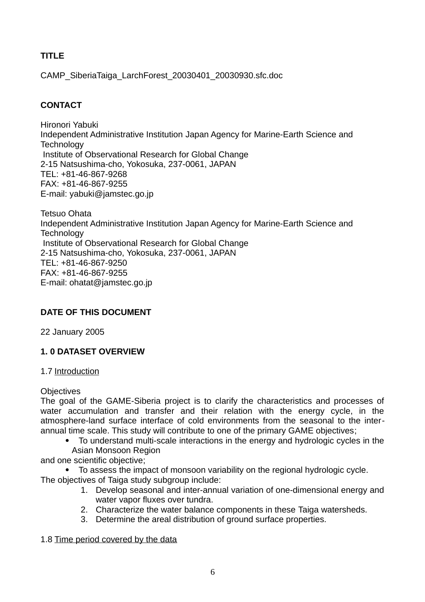# **TITLE**

CAMP\_SiberiaTaiga\_LarchForest\_20030401\_20030930.sfc.doc

# **CONTACT**

Hironori Yabuki Independent Administrative Institution Japan Agency for Marine-Earth Science and **Technology** Institute of Observational Research for Global Change 2-15 Natsushima-cho, Yokosuka, 237-0061, JAPAN TEL: +81-46-867-9268 FAX: +81-46-867-9255 E-mail: yabuki@jamstec.go.jp

Tetsuo Ohata Independent Administrative Institution Japan Agency for Marine-Earth Science and **Technology** Institute of Observational Research for Global Change 2-15 Natsushima-cho, Yokosuka, 237-0061, JAPAN TEL: +81-46-867-9250 FAX: +81-46-867-9255 E-mail: ohatat@jamstec.go.jp

# **DATE OF THIS DOCUMENT**

22 January 2005

# **1. 0 DATASET OVERVIEW**

# 1.7 Introduction

## **Objectives**

The goal of the GAME-Siberia project is to clarify the characteristics and processes of water accumulation and transfer and their relation with the energy cycle, in the atmosphere-land surface interface of cold environments from the seasonal to the interannual time scale. This study will contribute to one of the primary GAME objectives;

 To understand multi-scale interactions in the energy and hydrologic cycles in the Asian Monsoon Region

and one scientific objective;

- To assess the impact of monsoon variability on the regional hydrologic cycle. The objectives of Taiga study subgroup include:
	- 1. Develop seasonal and inter-annual variation of one-dimensional energy and water vapor fluxes over tundra.
	- 2. Characterize the water balance components in these Taiga watersheds.
	- 3. Determine the areal distribution of ground surface properties.

# 1.8 Time period covered by the data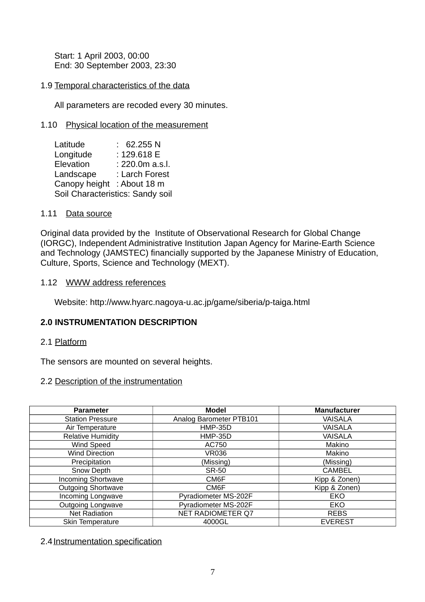Start: 1 April 2003, 00:00 End: 30 September 2003, 23:30

## 1.9 Temporal characteristics of the data

All parameters are recoded every 30 minutes.

## 1.10 Physical location of the measurement

| Latitude                         | 62.255 N        |  |
|----------------------------------|-----------------|--|
| Longitude                        | : 129.618 E     |  |
| Elevation                        | : 220.0m a.s.l. |  |
| Landscape                        | : Larch Forest  |  |
| Canopy height : About 18 m       |                 |  |
| Soil Characteristics: Sandy soil |                 |  |

#### 1.11 Data source

Original data provided by the Institute of Observational Research for Global Change (IORGC), Independent Administrative Institution Japan Agency for Marine-Earth Science and Technology (JAMSTEC) financially supported by the Japanese Ministry of Education, Culture, Sports, Science and Technology (MEXT).

#### 1.12 WWW address references

Website: http://www.hyarc.nagoya-u.ac.jp/game/siberia/p-taiga.html

## **2.0 INSTRUMENTATION DESCRIPTION**

#### 2.1 Platform

The sensors are mounted on several heights.

## 2.2 Description of the instrumentation

| <b>Parameter</b>          | <b>Model</b>             | <b>Manufacturer</b> |
|---------------------------|--------------------------|---------------------|
| <b>Station Pressure</b>   | Analog Barometer PTB101  | <b>VAISALA</b>      |
| Air Temperature           | <b>HMP-35D</b>           | <b>VAISALA</b>      |
| <b>Relative Humidity</b>  | <b>HMP-35D</b>           | <b>VAISALA</b>      |
| Wind Speed                | AC750                    | Makino              |
| <b>Wind Direction</b>     | <b>VR036</b>             | Makino              |
| Precipitation             | (Missing)                | (Missing)           |
| Snow Depth                | <b>SR-50</b>             | <b>CAMBEL</b>       |
| <b>Incoming Shortwave</b> | CM6F                     | Kipp & Zonen)       |
| <b>Outgoing Shortwave</b> | CM6F                     | Kipp & Zonen)       |
| Incoming Longwave         | Pyradiometer MS-202F     | EKO                 |
| <b>Outgoing Longwave</b>  | Pyradiometer MS-202F     | EKO                 |
| <b>Net Radiation</b>      | <b>NET RADIOMETER Q7</b> | <b>REBS</b>         |
| Skin Temperature          | 4000GL                   | <b>EVEREST</b>      |

## 2.4 Instrumentation specification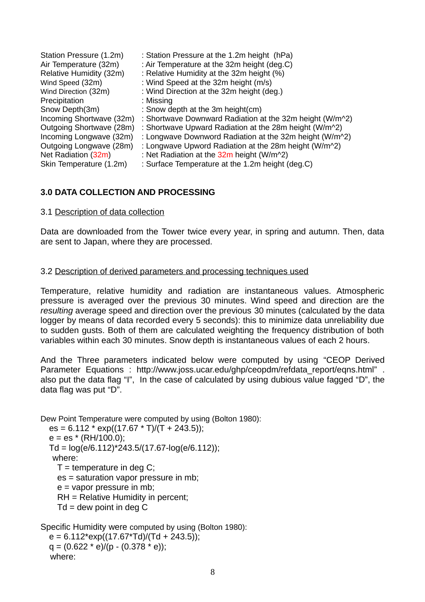| Station Pressure (1.2m)  | : Station Pressure at the 1.2m height (hPa)                             |
|--------------------------|-------------------------------------------------------------------------|
| Air Temperature (32m)    | : Air Temperature at the 32m height (deg.C)                             |
| Relative Humidity (32m)  | : Relative Humidity at the 32m height (%)                               |
| Wind Speed (32m)         | : Wind Speed at the 32m height (m/s)                                    |
| Wind Direction (32m)     | : Wind Direction at the 32m height (deg.)                               |
| Precipitation            | : Missing                                                               |
| Snow Depth(3m)           | : Snow depth at the 3m height(cm)                                       |
| Incoming Shortwave (32m) | : Shortwave Downward Radiation at the 32m height (W/m^2)                |
| Outgoing Shortwave (28m) | : Shortwave Upward Radiation at the 28m height (W/m <sup>22</sup> )     |
| Incoming Longwave (32m)  | : Longwave Downword Radiation at the 32m height (W/m^2)                 |
| Outgoing Longwave (28m)  | : Longwave Upword Radiation at the 28m height (W/m <sup>22</sup> )      |
| Net Radiation (32m)      | : Net Radiation at the $32m$ height (W/m <sup><math>\sim</math>2)</sup> |
| Skin Temperature (1.2m)  | : Surface Temperature at the 1.2m height (deg.C)                        |

## **3.0 DATA COLLECTION AND PROCESSING**

#### 3.1 Description of data collection

Data are downloaded from the Tower twice every year, in spring and autumn. Then, data are sent to Japan, where they are processed.

#### 3.2 Description of derived parameters and processing techniques used

Temperature, relative humidity and radiation are instantaneous values. Atmospheric pressure is averaged over the previous 30 minutes. Wind speed and direction are the *resulting* average speed and direction over the previous 30 minutes (calculated by the data logger by means of data recorded every 5 seconds): this to minimize data unreliability due to sudden gusts. Both of them are calculated weighting the frequency distribution of both variables within each 30 minutes. Snow depth is instantaneous values of each 2 hours.

And the Three parameters indicated below were computed by using "CEOP Derived Parameter Equations : http://www.joss.ucar.edu/ghp/ceopdm/refdata\_report/eqns.html" . also put the data flag "I", In the case of calculated by using dubious value fagged "D", the data flag was put "D".

Dew Point Temperature were computed by using (Bolton 1980):  $es = 6.112 * exp((17.67 * T)/(T + 243.5))$ ;  $e = es * (RH/100.0);$ Td =  $log(e/6.112)$ \*243.5/(17.67- $log(e/6.112)$ ); where:  $T =$  temperature in deg C; es = saturation vapor pressure in mb;  $e =$  vapor pressure in mb; RH = Relative Humidity in percent;  $Td =$  dew point in deg C

Specific Humidity were computed by using (Bolton 1980):  $e = 6.112*exp((17.67*Td)/(Td + 243.5))$ ;  $q = (0.622 * e)/(p - (0.378 * e));$ where: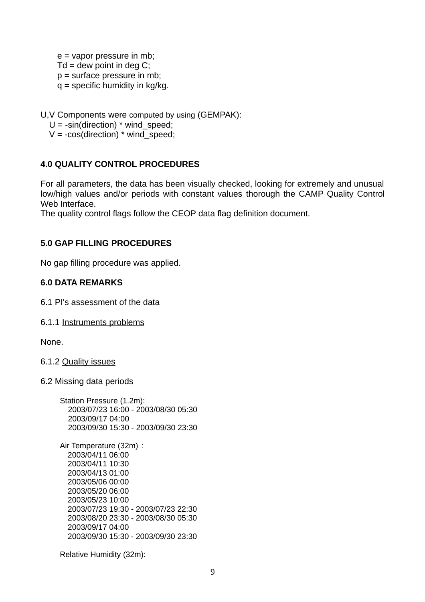e = vapor pressure in mb;  $Td =$  dew point in deg C;  $p =$  surface pressure in mb;  $q =$  specific humidity in kg/kg.

U,V Components were computed by using (GEMPAK):

 $U = -sin(direction)*wind speed;$ 

 $V = -cos(direction) * wind\_speed;$ 

## **4.0 QUALITY CONTROL PROCEDURES**

For all parameters, the data has been visually checked, looking for extremely and unusual low/high values and/or periods with constant values thorough the CAMP Quality Control Web Interface.

The quality control flags follow the CEOP data flag definition document.

## **5.0 GAP FILLING PROCEDURES**

No gap filling procedure was applied.

## **6.0 DATA REMARKS**

- 6.1 PI's assessment of the data
- 6.1.1 Instruments problems

None.

6.1.2 Quality issues

#### 6.2 Missing data periods

| Station Pressure (1.2m):            |  |
|-------------------------------------|--|
| 2003/07/23 16:00 - 2003/08/30 05:30 |  |
| 2003/09/17 04:00                    |  |
| 2003/09/30 15:30 - 2003/09/30 23:30 |  |
|                                     |  |

Air Temperature (32m) : 2003/04/11 06:00 2003/04/11 10:30 2003/04/13 01:00 2003/05/06 00:00 2003/05/20 06:00 2003/05/23 10:00 2003/07/23 19:30 - 2003/07/23 22:30 2003/08/20 23:30 - 2003/08/30 05:30 2003/09/17 04:00 2003/09/30 15:30 - 2003/09/30 23:30

Relative Humidity (32m):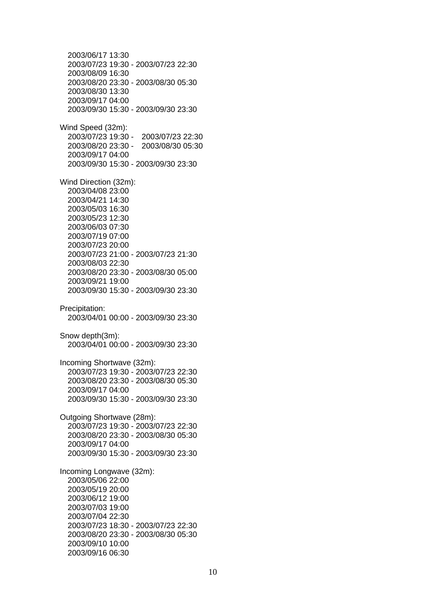2003/06/17 13:30 2003/07/23 19:30 - 2003/07/23 22:30 2003/08/09 16:30 2003/08/20 23:30 - 2003/08/30 05:30 2003/08/30 13:30 2003/09/17 04:00 2003/09/30 15:30 - 2003/09/30 23:30 Wind Speed (32m): 2003/07/23 19:30 - 2003/07/23 22:30 2003/08/20 23:30 - 2003/08/30 05:30 2003/09/17 04:00 2003/09/30 15:30 - 2003/09/30 23:30 Wind Direction (32m): 2003/04/08 23:00 2003/04/21 14:30 2003/05/03 16:30 2003/05/23 12:30 2003/06/03 07:30 2003/07/19 07:00 2003/07/23 20:00 2003/07/23 21:00 - 2003/07/23 21:30 2003/08/03 22:30 2003/08/20 23:30 - 2003/08/30 05:00 2003/09/21 19:00 2003/09/30 15:30 - 2003/09/30 23:30 Precipitation: 2003/04/01 00:00 - 2003/09/30 23:30 Snow depth(3m): 2003/04/01 00:00 - 2003/09/30 23:30 Incoming Shortwave (32m): 2003/07/23 19:30 - 2003/07/23 22:30 2003/08/20 23:30 - 2003/08/30 05:30 2003/09/17 04:00 2003/09/30 15:30 - 2003/09/30 23:30 Outgoing Shortwave (28m): 2003/07/23 19:30 - 2003/07/23 22:30 2003/08/20 23:30 - 2003/08/30 05:30 2003/09/17 04:00 2003/09/30 15:30 - 2003/09/30 23:30 Incoming Longwave (32m): 2003/05/06 22:00 2003/05/19 20:00 2003/06/12 19:00 2003/07/03 19:00 2003/07/04 22:30 2003/07/23 18:30 - 2003/07/23 22:30 2003/08/20 23:30 - 2003/08/30 05:30 2003/09/10 10:00 2003/09/16 06:30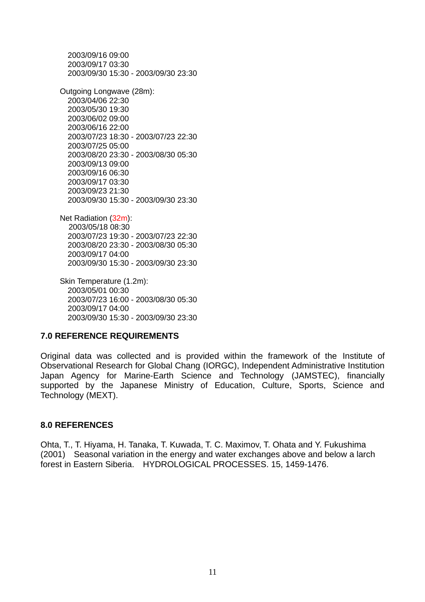2003/09/16 09:00 2003/09/17 03:30 2003/09/30 15:30 - 2003/09/30 23:30 Outgoing Longwave (28m): 2003/04/06 22:30 2003/05/30 19:30 2003/06/02 09:00 2003/06/16 22:00 2003/07/23 18:30 - 2003/07/23 22:30 2003/07/25 05:00 2003/08/20 23:30 - 2003/08/30 05:30 2003/09/13 09:00 2003/09/16 06:30 2003/09/17 03:30 2003/09/23 21:30 2003/09/30 15:30 - 2003/09/30 23:30 Net Radiation (32m):

 2003/05/18 08:30 2003/07/23 19:30 - 2003/07/23 22:30 2003/08/20 23:30 - 2003/08/30 05:30 2003/09/17 04:00 2003/09/30 15:30 - 2003/09/30 23:30

Skin Temperature (1.2m): 2003/05/01 00:30 2003/07/23 16:00 - 2003/08/30 05:30 2003/09/17 04:00 2003/09/30 15:30 - 2003/09/30 23:30

## **7.0 REFERENCE REQUIREMENTS**

Original data was collected and is provided within the framework of the Institute of Observational Research for Global Chang (IORGC), Independent Administrative Institution Japan Agency for Marine-Earth Science and Technology (JAMSTEC), financially supported by the Japanese Ministry of Education, Culture, Sports, Science and Technology (MEXT).

#### **8.0 REFERENCES**

Ohta, T., T. Hiyama, H. Tanaka, T. Kuwada, T. C. Maximov, T. Ohata and Y. Fukushima (2001) Seasonal variation in the energy and water exchanges above and below a larch forest in Eastern Siberia. HYDROLOGICAL PROCESSES. 15, 1459-1476.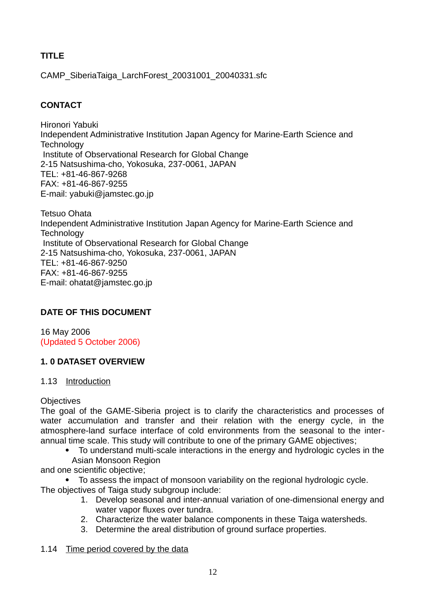# **TITLE**

CAMP\_SiberiaTaiga\_LarchForest\_20031001\_20040331.sfc

# **CONTACT**

Hironori Yabuki Independent Administrative Institution Japan Agency for Marine-Earth Science and **Technology** Institute of Observational Research for Global Change 2-15 Natsushima-cho, Yokosuka, 237-0061, JAPAN TEL: +81-46-867-9268 FAX: +81-46-867-9255 E-mail: yabuki@jamstec.go.jp

Tetsuo Ohata Independent Administrative Institution Japan Agency for Marine-Earth Science and **Technology** Institute of Observational Research for Global Change 2-15 Natsushima-cho, Yokosuka, 237-0061, JAPAN TEL: +81-46-867-9250 FAX: +81-46-867-9255 E-mail: ohatat@jamstec.go.jp

# **DATE OF THIS DOCUMENT**

16 May 2006 (Updated 5 October 2006)

# **1. 0 DATASET OVERVIEW**

# 1.13 Introduction

# **Objectives**

The goal of the GAME-Siberia project is to clarify the characteristics and processes of water accumulation and transfer and their relation with the energy cycle, in the atmosphere-land surface interface of cold environments from the seasonal to the interannual time scale. This study will contribute to one of the primary GAME objectives;

- To understand multi-scale interactions in the energy and hydrologic cycles in the Asian Monsoon Region
- and one scientific objective;

 To assess the impact of monsoon variability on the regional hydrologic cycle. The objectives of Taiga study subgroup include:

- 1. Develop seasonal and inter-annual variation of one-dimensional energy and water vapor fluxes over tundra.
- 2. Characterize the water balance components in these Taiga watersheds.
- 3. Determine the areal distribution of ground surface properties.

# 1.14 Time period covered by the data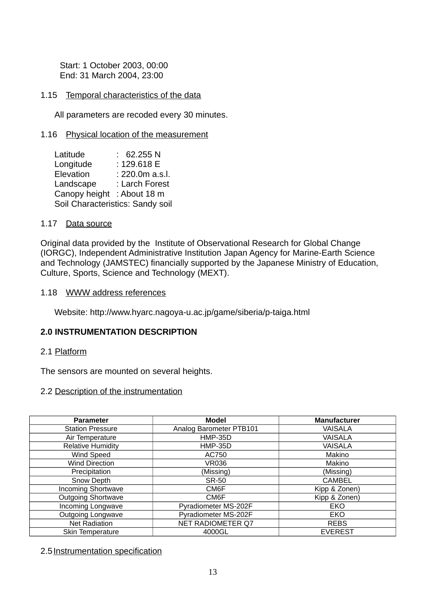Start: 1 October 2003, 00:00 End: 31 March 2004, 23:00

#### 1.15 Temporal characteristics of the data

All parameters are recoded every 30 minutes.

#### 1.16 Physical location of the measurement

| Latitude                         | 62.255 N        |
|----------------------------------|-----------------|
| Longitude                        | : 129.618 E     |
| Elevation                        | : 220.0m a.s.l. |
| Landscape                        | : Larch Forest  |
| Canopy height                    | : About 18 m    |
| Soil Characteristics: Sandy soil |                 |

#### 1.17 Data source

Original data provided by the Institute of Observational Research for Global Change (IORGC), Independent Administrative Institution Japan Agency for Marine-Earth Science and Technology (JAMSTEC) financially supported by the Japanese Ministry of Education, Culture, Sports, Science and Technology (MEXT).

1.18 WWW address references

Website: http://www.hyarc.nagoya-u.ac.jp/game/siberia/p-taiga.html

#### **2.0 INSTRUMENTATION DESCRIPTION**

2.1 Platform

The sensors are mounted on several heights.

#### 2.2 Description of the instrumentation

| <b>Parameter</b>          | <b>Model</b>            | <b>Manufacturer</b> |
|---------------------------|-------------------------|---------------------|
| <b>Station Pressure</b>   | Analog Barometer PTB101 | <b>VAISALA</b>      |
| Air Temperature           | <b>HMP-35D</b>          | <b>VAISALA</b>      |
| <b>Relative Humidity</b>  | <b>HMP-35D</b>          | <b>VAISALA</b>      |
| <b>Wind Speed</b>         | AC750                   | Makino              |
| <b>Wind Direction</b>     | <b>VR036</b>            | Makino              |
| Precipitation             | (Missing)               | (Missing)           |
| Snow Depth                | <b>SR-50</b>            | <b>CAMBEL</b>       |
| <b>Incoming Shortwave</b> | CM6F                    | Kipp & Zonen)       |
| <b>Outgoing Shortwave</b> | CM6F                    | Kipp & Zonen)       |
| Incoming Longwave         | Pyradiometer MS-202F    | EKO                 |
| <b>Outgoing Longwave</b>  | Pyradiometer MS-202F    | EKO                 |
| <b>Net Radiation</b>      | NET RADIOMETER Q7       | <b>REBS</b>         |
| Skin Temperature          | 4000GL                  | <b>EVEREST</b>      |

2.5 Instrumentation specification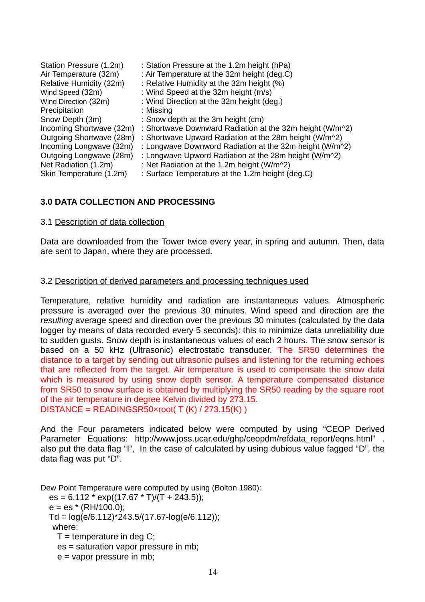| Station Pressure (1.2m)  | : Station Pressure at the 1.2m height (hPa)                            |
|--------------------------|------------------------------------------------------------------------|
| Air Temperature (32m)    | : Air Temperature at the 32m height (deg.C)                            |
| Relative Humidity (32m)  | : Relative Humidity at the 32m height (%)                              |
| Wind Speed (32m)         | : Wind Speed at the 32m height (m/s)                                   |
| Wind Direction (32m)     | : Wind Direction at the 32m height (deg.)                              |
| Precipitation            | : Missing                                                              |
| Snow Depth (3m)          | : Snow depth at the 3m height (cm)                                     |
| Incoming Shortwave (32m) | : Shortwave Downward Radiation at the 32m height (W/m $\textdegree$ 2) |
| Outgoing Shortwave (28m) | : Shortwave Upward Radiation at the 28m height (W/m <sup>22</sup> )    |
| Incoming Longwave (32m)  | : Longwave Downword Radiation at the 32m height (W/m <sup>22</sup> )   |
| Outgoing Longwave (28m)  | : Longwave Upword Radiation at the 28m height (W/m <sup>22</sup> )     |
| Net Radiation (1.2m)     | : Net Radiation at the 1.2m height (W/m <sup>2</sup> )                 |
| Skin Temperature (1.2m)  | : Surface Temperature at the 1.2m height (deg.C)                       |

# **3.0 DATA COLLECTION AND PROCESSING**

#### 3.1 Description of data collection

Data are downloaded from the Tower twice every year, in spring and autumn. Then, data are sent to Japan, where they are processed.

## 3.2 Description of derived parameters and processing techniques used

Temperature, relative humidity and radiation are instantaneous values. Atmospheric pressure is averaged over the previous 30 minutes. Wind speed and direction are the *resulting* average speed and direction over the previous 30 minutes (calculated by the data logger by means of data recorded every 5 seconds): this to minimize data unreliability due to sudden gusts. Snow depth is instantaneous values of each 2 hours. The snow sensor is based on a 50 kHz (Ultrasonic) electrostatic transducer. The SR50 determines the distance to a target by sending out ultrasonic pulses and listening for the returning echoes that are reflected from the target. Air temperature is used to compensate the snow data which is measured by using snow depth sensor. A temperature compensated distance from SR50 to snow surface is obtained by multiplying the SR50 reading by the square root of the air temperature in degree Kelvin divided by 273.15. DISTANCE = READINGSR50×root( T (K) / 273.15(K) )

And the Four parameters indicated below were computed by using "CEOP Derived Parameter Equations: http://www.joss.ucar.edu/ghp/ceopdm/refdata\_report/eqns.html" . also put the data flag "I", In the case of calculated by using dubious value fagged "D", the data flag was put "D".

Dew Point Temperature were computed by using (Bolton 1980):

es =  $6.112 * exp((17.67 * T)/(T + 243.5));$  $e = es * (RH/100.0)$ ;  $Td = log(e/6.112)*243.5/(17.67-log(e/6.112))$ ; where:  $T =$  temperature in deg C; es = saturation vapor pressure in mb;  $e =$  vapor pressure in mb;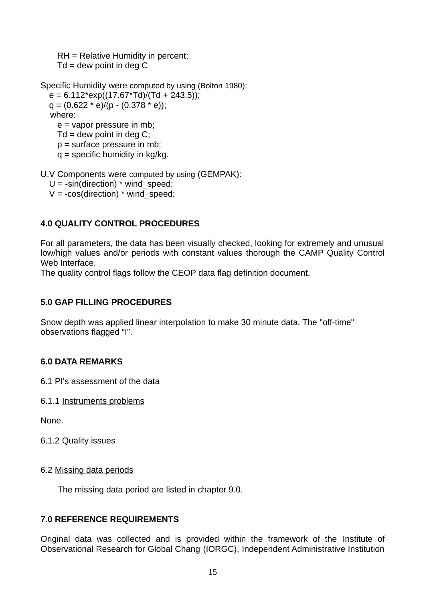RH = Relative Humidity in percent;  $Td =$  dew point in deg C

Specific Humidity were computed by using (Bolton 1980):  $e = 6.112*exp((17.67*Td)/(Td + 243.5));$  $q = (0.622 * e)/(p - (0.378 * e))$ ; where: e = vapor pressure in mb;  $Td =$  dew point in deg C;  $p =$  surface pressure in mb;  $q =$  specific humidity in kg/kg.

U,V Components were computed by using (GEMPAK):

 $U = -sin(direction) * wind speed$ :

 $V = -\cos(direction) * wind speed;$ 

# **4.0 QUALITY CONTROL PROCEDURES**

For all parameters, the data has been visually checked, looking for extremely and unusual low/high values and/or periods with constant values thorough the CAMP Quality Control Web Interface.

The quality control flags follow the CEOP data flag definition document.

# **5.0 GAP FILLING PROCEDURES**

Snow depth was applied linear interpolation to make 30 minute data. The "off-time" observations flagged "I".

# **6.0 DATA REMARKS**

6.1 PI's assessment of the data

6.1.1 Instruments problems

None.

# 6.1.2 Quality issues

## 6.2 Missing data periods

The missing data period are listed in chapter 9.0.

# **7.0 REFERENCE REQUIREMENTS**

Original data was collected and is provided within the framework of the Institute of Observational Research for Global Chang (IORGC), Independent Administrative Institution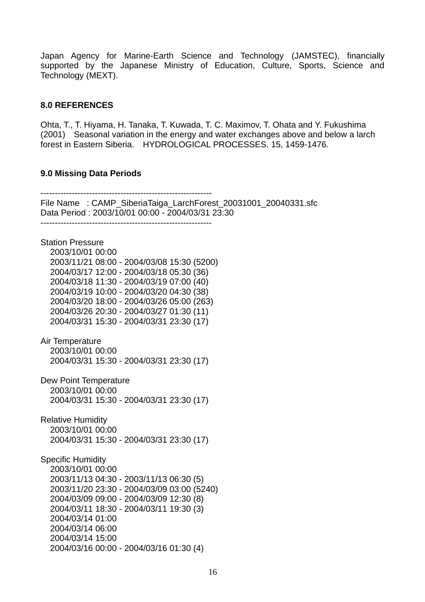Japan Agency for Marine-Earth Science and Technology (JAMSTEC), financially supported by the Japanese Ministry of Education, Culture, Sports, Science and Technology (MEXT).

#### **8.0 REFERENCES**

Ohta, T., T. Hiyama, H. Tanaka, T. Kuwada, T. C. Maximov, T. Ohata and Y. Fukushima (2001) Seasonal variation in the energy and water exchanges above and below a larch forest in Eastern Siberia. HYDROLOGICAL PROCESSES. 15, 1459-1476.

#### **9.0 Missing Data Periods**

------------------------------------------------------------ File Name: CAMP\_SiberiaTaiga\_LarchForest\_20031001\_20040331.sfc Data Period : 2003/10/01 00:00 - 2004/03/31 23:30 ------------------------------------------------------------ Station Pressure 2003/10/01 00:00 2003/11/21 08:00 - 2004/03/08 15:30 (5200) 2004/03/17 12:00 - 2004/03/18 05:30 (36) 2004/03/18 11:30 - 2004/03/19 07:00 (40) 2004/03/19 10:00 - 2004/03/20 04:30 (38) 2004/03/20 18:00 - 2004/03/26 05:00 (263) 2004/03/26 20:30 - 2004/03/27 01:30 (11) 2004/03/31 15:30 - 2004/03/31 23:30 (17) Air Temperature 2003/10/01 00:00 2004/03/31 15:30 - 2004/03/31 23:30 (17) Dew Point Temperature 2003/10/01 00:00 2004/03/31 15:30 - 2004/03/31 23:30 (17) Relative Humidity 2003/10/01 00:00 2004/03/31 15:30 - 2004/03/31 23:30 (17) Specific Humidity 2003/10/01 00:00 2003/11/13 04:30 - 2003/11/13 06:30 (5) 2003/11/20 23:30 - 2004/03/09 03:00 (5240) 2004/03/09 09:00 - 2004/03/09 12:30 (8) 2004/03/11 18:30 - 2004/03/11 19:30 (3) 2004/03/14 01:00 2004/03/14 06:00 2004/03/14 15:00 2004/03/16 00:00 - 2004/03/16 01:30 (4)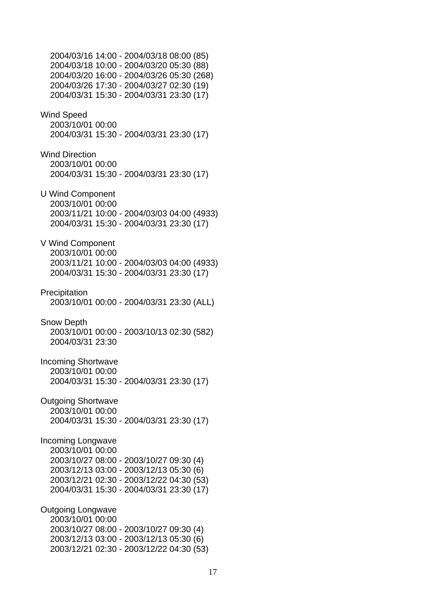2004/03/16 14:00 - 2004/03/18 08:00 (85) 2004/03/18 10:00 - 2004/03/20 05:30 (88) 2004/03/20 16:00 - 2004/03/26 05:30 (268) 2004/03/26 17:30 - 2004/03/27 02:30 (19) 2004/03/31 15:30 - 2004/03/31 23:30 (17) Wind Speed 2003/10/01 00:00 2004/03/31 15:30 - 2004/03/31 23:30 (17) Wind Direction 2003/10/01 00:00 2004/03/31 15:30 - 2004/03/31 23:30 (17) U Wind Component 2003/10/01 00:00 2003/11/21 10:00 - 2004/03/03 04:00 (4933) 2004/03/31 15:30 - 2004/03/31 23:30 (17) V Wind Component 2003/10/01 00:00 2003/11/21 10:00 - 2004/03/03 04:00 (4933) 2004/03/31 15:30 - 2004/03/31 23:30 (17) Precipitation 2003/10/01 00:00 - 2004/03/31 23:30 (ALL) Snow Depth 2003/10/01 00:00 - 2003/10/13 02:30 (582) 2004/03/31 23:30 Incoming Shortwave 2003/10/01 00:00 2004/03/31 15:30 - 2004/03/31 23:30 (17) Outgoing Shortwave 2003/10/01 00:00 2004/03/31 15:30 - 2004/03/31 23:30 (17) Incoming Longwave 2003/10/01 00:00 2003/10/27 08:00 - 2003/10/27 09:30 (4) 2003/12/13 03:00 - 2003/12/13 05:30 (6) 2003/12/21 02:30 - 2003/12/22 04:30 (53) 2004/03/31 15:30 - 2004/03/31 23:30 (17) Outgoing Longwave 2003/10/01 00:00 2003/10/27 08:00 - 2003/10/27 09:30 (4) 2003/12/13 03:00 - 2003/12/13 05:30 (6) 2003/12/21 02:30 - 2003/12/22 04:30 (53)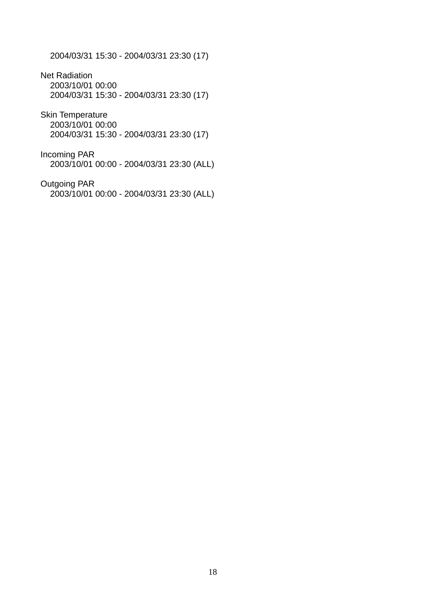2004/03/31 15:30 - 2004/03/31 23:30 (17)

Net Radiation 2003/10/01 00:00 2004/03/31 15:30 - 2004/03/31 23:30 (17)

Skin Temperature 2003/10/01 00:00 2004/03/31 15:30 - 2004/03/31 23:30 (17)

Incoming PAR 2003/10/01 00:00 - 2004/03/31 23:30 (ALL)

Outgoing PAR 2003/10/01 00:00 - 2004/03/31 23:30 (ALL)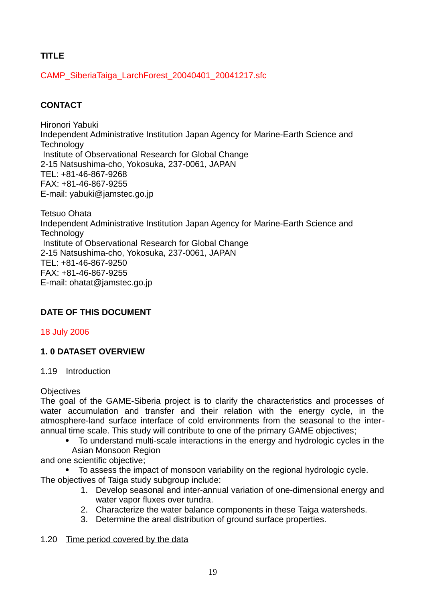# **TITLE**

CAMP\_SiberiaTaiga\_LarchForest\_20040401\_20041217.sfc

# **CONTACT**

Hironori Yabuki Independent Administrative Institution Japan Agency for Marine-Earth Science and **Technology** Institute of Observational Research for Global Change 2-15 Natsushima-cho, Yokosuka, 237-0061, JAPAN TEL: +81-46-867-9268 FAX: +81-46-867-9255 E-mail: yabuki@jamstec.go.jp

Tetsuo Ohata Independent Administrative Institution Japan Agency for Marine-Earth Science and **Technology** Institute of Observational Research for Global Change 2-15 Natsushima-cho, Yokosuka, 237-0061, JAPAN TEL: +81-46-867-9250 FAX: +81-46-867-9255 E-mail: ohatat@jamstec.go.jp

# **DATE OF THIS DOCUMENT**

18 July 2006

# **1. 0 DATASET OVERVIEW**

# 1.19 Introduction

## **Objectives**

The goal of the GAME-Siberia project is to clarify the characteristics and processes of water accumulation and transfer and their relation with the energy cycle, in the atmosphere-land surface interface of cold environments from the seasonal to the interannual time scale. This study will contribute to one of the primary GAME objectives;

 To understand multi-scale interactions in the energy and hydrologic cycles in the Asian Monsoon Region

and one scientific objective;

- To assess the impact of monsoon variability on the regional hydrologic cycle. The objectives of Taiga study subgroup include:
	- 1. Develop seasonal and inter-annual variation of one-dimensional energy and water vapor fluxes over tundra.
	- 2. Characterize the water balance components in these Taiga watersheds.
	- 3. Determine the areal distribution of ground surface properties.

# 1.20 Time period covered by the data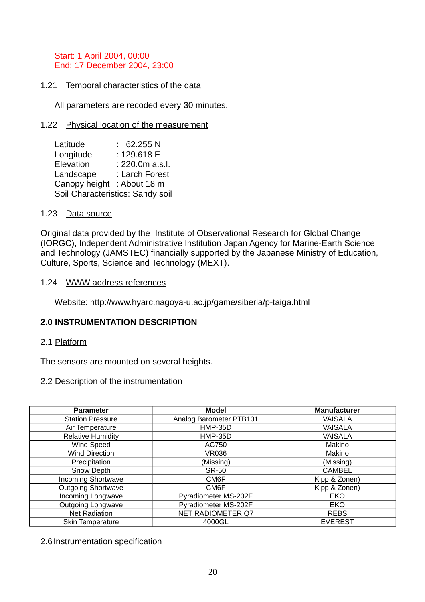Start: 1 April 2004, 00:00 End: 17 December 2004, 23:00

### 1.21 Temporal characteristics of the data

All parameters are recoded every 30 minutes.

#### 1.22 Physical location of the measurement

| Latitude                         | 62.255 N        |  |
|----------------------------------|-----------------|--|
| Longitude                        | : 129.618 E     |  |
| Elevation                        | : 220.0m a.s.l. |  |
| Landscape                        | : Larch Forest  |  |
| Canopy height : About 18 m       |                 |  |
| Soil Characteristics: Sandy soil |                 |  |

#### 1.23 Data source

Original data provided by the Institute of Observational Research for Global Change (IORGC), Independent Administrative Institution Japan Agency for Marine-Earth Science and Technology (JAMSTEC) financially supported by the Japanese Ministry of Education, Culture, Sports, Science and Technology (MEXT).

#### 1.24 WWW address references

Website: http://www.hyarc.nagoya-u.ac.jp/game/siberia/p-taiga.html

#### **2.0 INSTRUMENTATION DESCRIPTION**

#### 2.1 Platform

The sensors are mounted on several heights.

#### 2.2 Description of the instrumentation

| <b>Parameter</b>          | <b>Model</b>             | <b>Manufacturer</b> |
|---------------------------|--------------------------|---------------------|
| <b>Station Pressure</b>   | Analog Barometer PTB101  | <b>VAISALA</b>      |
| Air Temperature           | <b>HMP-35D</b>           | <b>VAISALA</b>      |
| <b>Relative Humidity</b>  | <b>HMP-35D</b>           | <b>VAISALA</b>      |
| Wind Speed                | AC750                    | Makino              |
| <b>Wind Direction</b>     | <b>VR036</b>             | Makino              |
| Precipitation             | (Missing)                | (Missing)           |
| Snow Depth                | <b>SR-50</b>             | <b>CAMBEL</b>       |
| <b>Incoming Shortwave</b> | CM6F                     | Kipp & Zonen)       |
| <b>Outgoing Shortwave</b> | CM6F                     | Kipp & Zonen)       |
| Incoming Longwave         | Pyradiometer MS-202F     | EKO                 |
| <b>Outgoing Longwave</b>  | Pyradiometer MS-202F     | EKO                 |
| <b>Net Radiation</b>      | <b>NET RADIOMETER Q7</b> | <b>REBS</b>         |
| Skin Temperature          | 4000GL                   | <b>EVEREST</b>      |

#### 2.6 Instrumentation specification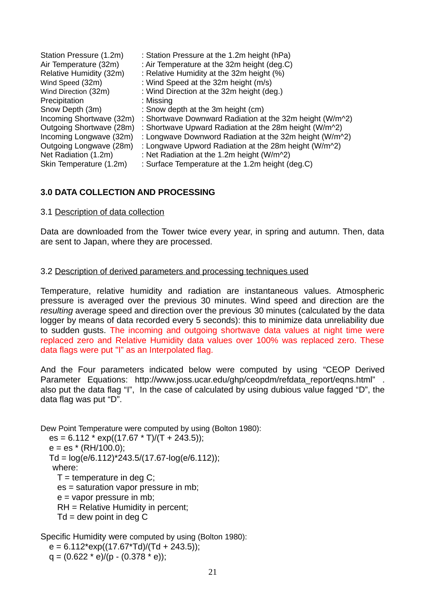| Station Pressure (1.2m)<br>Air Temperature (32m) | : Station Pressure at the 1.2m height (hPa)<br>: Air Temperature at the 32m height (deg.C) |
|--------------------------------------------------|--------------------------------------------------------------------------------------------|
| Relative Humidity (32m)                          | : Relative Humidity at the 32m height (%)                                                  |
| Wind Speed (32m)                                 | : Wind Speed at the 32m height (m/s)                                                       |
| Wind Direction (32m)                             | : Wind Direction at the 32m height (deg.)                                                  |
| Precipitation                                    | : Missing                                                                                  |
| Snow Depth (3m)                                  | : Snow depth at the 3m height (cm)                                                         |
| Incoming Shortwave (32m)                         | : Shortwave Downward Radiation at the 32m height (W/m <sup>22</sup> )                      |
| Outgoing Shortwave (28m)                         | : Shortwave Upward Radiation at the 28m height (W/m <sup>22</sup> )                        |
| Incoming Longwave (32m)                          | : Longwave Downword Radiation at the 32m height (W/m <sup>22</sup> )                       |
| Outgoing Longwave (28m)                          | : Longwave Upword Radiation at the 28m height (W/m <sup>22</sup> )                         |
| Net Radiation (1.2m)                             | : Net Radiation at the 1.2m height (W/m^2)                                                 |
| Skin Temperature (1.2m)                          | : Surface Temperature at the 1.2m height (deg.C)                                           |

## **3.0 DATA COLLECTION AND PROCESSING**

#### 3.1 Description of data collection

Data are downloaded from the Tower twice every year, in spring and autumn. Then, data are sent to Japan, where they are processed.

#### 3.2 Description of derived parameters and processing techniques used

Temperature, relative humidity and radiation are instantaneous values. Atmospheric pressure is averaged over the previous 30 minutes. Wind speed and direction are the *resulting* average speed and direction over the previous 30 minutes (calculated by the data logger by means of data recorded every 5 seconds): this to minimize data unreliability due to sudden gusts. The incoming and outgoing shortwave data values at night time were replaced zero and Relative Humidity data values over 100% was replaced zero. These data flags were put "I" as an Interpolated flag.

And the Four parameters indicated below were computed by using "CEOP Derived Parameter Equations: http://www.joss.ucar.edu/ghp/ceopdm/refdata\_report/eqns.html" . also put the data flag "I", In the case of calculated by using dubious value fagged "D", the data flag was put "D".

Dew Point Temperature were computed by using (Bolton 1980): es = 6.112 \* exp((17.67 \* T)/(T + 243.5));  $e = es * (RH/100.0);$  $Td = log(e/6.112) * 243.5/(17.67 - log(e/6.112))$ ; where:  $T =$  temperature in deg C; es = saturation vapor pressure in mb;  $e =$  vapor pressure in mb; RH = Relative Humidity in percent;  $Td =$  dew point in deg C

Specific Humidity were computed by using (Bolton 1980):  $e = 6.112*exp((17.67*Td)/(Td + 243.5));$  $q = (0.622 * e)/(p - (0.378 * e))$ ;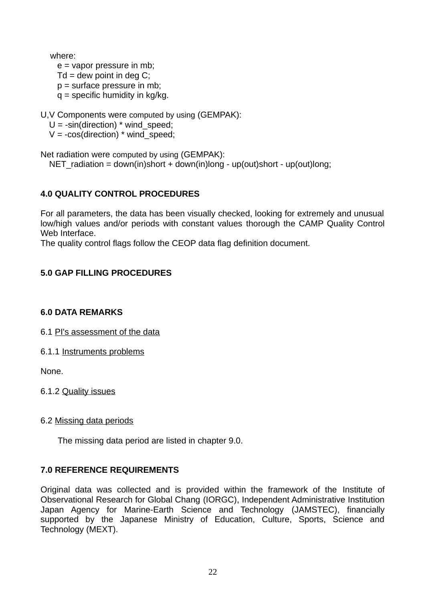where:

 e = vapor pressure in mb;  $Td =$  dew point in deg C; p = surface pressure in mb;  $q =$  specific humidity in kg/kg.

U,V Components were computed by using (GEMPAK):

 $U = -\sin(direction) * wind speed;$ 

 $V = -\cos(direction) * wind speed;$ 

Net radiation were computed by using (GEMPAK): NET radiation = down(in)short + down(in)long - up(out)short - up(out)long;

# **4.0 QUALITY CONTROL PROCEDURES**

For all parameters, the data has been visually checked, looking for extremely and unusual low/high values and/or periods with constant values thorough the CAMP Quality Control Web Interface.

The quality control flags follow the CEOP data flag definition document.

# **5.0 GAP FILLING PROCEDURES**

## **6.0 DATA REMARKS**

6.1 PI's assessment of the data

6.1.1 Instruments problems

None.

6.1.2 Quality issues

## 6.2 Missing data periods

The missing data period are listed in chapter 9.0.

# **7.0 REFERENCE REQUIREMENTS**

Original data was collected and is provided within the framework of the Institute of Observational Research for Global Chang (IORGC), Independent Administrative Institution Japan Agency for Marine-Earth Science and Technology (JAMSTEC), financially supported by the Japanese Ministry of Education, Culture, Sports, Science and Technology (MEXT).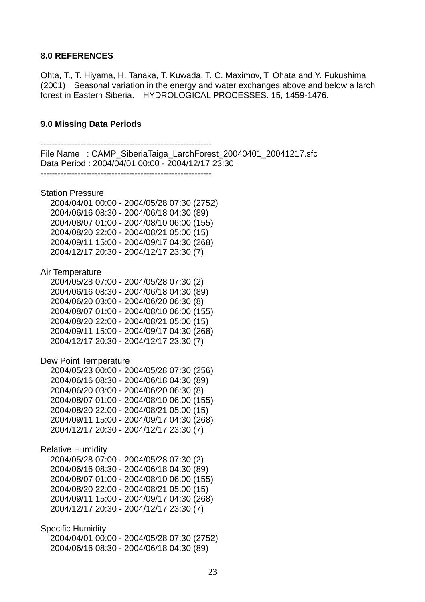#### **8.0 REFERENCES**

Ohta, T., T. Hiyama, H. Tanaka, T. Kuwada, T. C. Maximov, T. Ohata and Y. Fukushima (2001) Seasonal variation in the energy and water exchanges above and below a larch forest in Eastern Siberia. HYDROLOGICAL PROCESSES. 15, 1459-1476.

#### **9.0 Missing Data Periods**

------------------------------------------------------------ File Name : CAMP\_SiberiaTaiga\_LarchForest\_20040401\_20041217.sfc Data Period : 2004/04/01 00:00 - 2004/12/17 23:30 ------------------------------------------------------------ Station Pressure 2004/04/01 00:00 - 2004/05/28 07:30 (2752) 2004/06/16 08:30 - 2004/06/18 04:30 (89) 2004/08/07 01:00 - 2004/08/10 06:00 (155) 2004/08/20 22:00 - 2004/08/21 05:00 (15) 2004/09/11 15:00 - 2004/09/17 04:30 (268) 2004/12/17 20:30 - 2004/12/17 23:30 (7) Air Temperature 2004/05/28 07:00 - 2004/05/28 07:30 (2) 2004/06/16 08:30 - 2004/06/18 04:30 (89) 2004/06/20 03:00 - 2004/06/20 06:30 (8) 2004/08/07 01:00 - 2004/08/10 06:00 (155) 2004/08/20 22:00 - 2004/08/21 05:00 (15) 2004/09/11 15:00 - 2004/09/17 04:30 (268) 2004/12/17 20:30 - 2004/12/17 23:30 (7) Dew Point Temperature 2004/05/23 00:00 - 2004/05/28 07:30 (256) 2004/06/16 08:30 - 2004/06/18 04:30 (89) 2004/06/20 03:00 - 2004/06/20 06:30 (8) 2004/08/07 01:00 - 2004/08/10 06:00 (155) 2004/08/20 22:00 - 2004/08/21 05:00 (15) 2004/09/11 15:00 - 2004/09/17 04:30 (268) 2004/12/17 20:30 - 2004/12/17 23:30 (7) Relative Humidity 2004/05/28 07:00 - 2004/05/28 07:30 (2) 2004/06/16 08:30 - 2004/06/18 04:30 (89) 2004/08/07 01:00 - 2004/08/10 06:00 (155) 2004/08/20 22:00 - 2004/08/21 05:00 (15) 2004/09/11 15:00 - 2004/09/17 04:30 (268) 2004/12/17 20:30 - 2004/12/17 23:30 (7) Specific Humidity 2004/04/01 00:00 - 2004/05/28 07:30 (2752) 2004/06/16 08:30 - 2004/06/18 04:30 (89)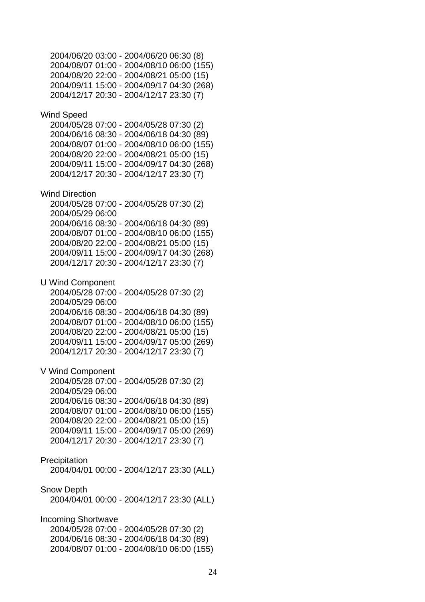2004/06/20 03:00 - 2004/06/20 06:30 (8) 2004/08/07 01:00 - 2004/08/10 06:00 (155) 2004/08/20 22:00 - 2004/08/21 05:00 (15) 2004/09/11 15:00 - 2004/09/17 04:30 (268) 2004/12/17 20:30 - 2004/12/17 23:30 (7) Wind Speed 2004/05/28 07:00 - 2004/05/28 07:30 (2) 2004/06/16 08:30 - 2004/06/18 04:30 (89) 2004/08/07 01:00 - 2004/08/10 06:00 (155) 2004/08/20 22:00 - 2004/08/21 05:00 (15) 2004/09/11 15:00 - 2004/09/17 04:30 (268) 2004/12/17 20:30 - 2004/12/17 23:30 (7) Wind Direction 2004/05/28 07:00 - 2004/05/28 07:30 (2) 2004/05/29 06:00 2004/06/16 08:30 - 2004/06/18 04:30 (89) 2004/08/07 01:00 - 2004/08/10 06:00 (155) 2004/08/20 22:00 - 2004/08/21 05:00 (15) 2004/09/11 15:00 - 2004/09/17 04:30 (268) 2004/12/17 20:30 - 2004/12/17 23:30 (7) U Wind Component 2004/05/28 07:00 - 2004/05/28 07:30 (2) 2004/05/29 06:00 2004/06/16 08:30 - 2004/06/18 04:30 (89) 2004/08/07 01:00 - 2004/08/10 06:00 (155) 2004/08/20 22:00 - 2004/08/21 05:00 (15) 2004/09/11 15:00 - 2004/09/17 05:00 (269) 2004/12/17 20:30 - 2004/12/17 23:30 (7) V Wind Component 2004/05/28 07:00 - 2004/05/28 07:30 (2) 2004/05/29 06:00 2004/06/16 08:30 - 2004/06/18 04:30 (89) 2004/08/07 01:00 - 2004/08/10 06:00 (155) 2004/08/20 22:00 - 2004/08/21 05:00 (15) 2004/09/11 15:00 - 2004/09/17 05:00 (269) 2004/12/17 20:30 - 2004/12/17 23:30 (7) Precipitation 2004/04/01 00:00 - 2004/12/17 23:30 (ALL) Snow Depth 2004/04/01 00:00 - 2004/12/17 23:30 (ALL) Incoming Shortwave 2004/05/28 07:00 - 2004/05/28 07:30 (2) 2004/06/16 08:30 - 2004/06/18 04:30 (89) 2004/08/07 01:00 - 2004/08/10 06:00 (155)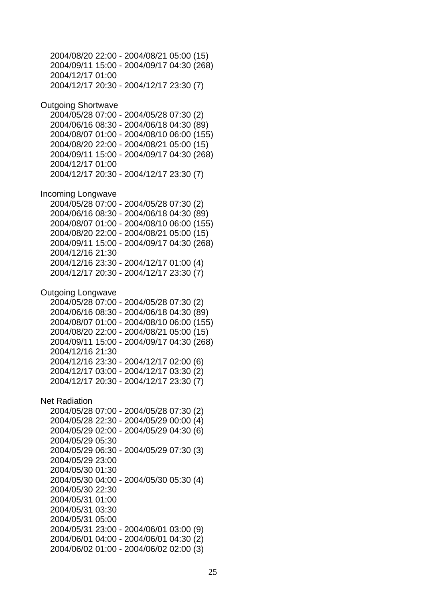2004/08/20 22:00 - 2004/08/21 05:00 (15) 2004/09/11 15:00 - 2004/09/17 04:30 (268) 2004/12/17 01:00 2004/12/17 20:30 - 2004/12/17 23:30 (7) Outgoing Shortwave 2004/05/28 07:00 - 2004/05/28 07:30 (2) 2004/06/16 08:30 - 2004/06/18 04:30 (89) 2004/08/07 01:00 - 2004/08/10 06:00 (155) 2004/08/20 22:00 - 2004/08/21 05:00 (15) 2004/09/11 15:00 - 2004/09/17 04:30 (268) 2004/12/17 01:00 2004/12/17 20:30 - 2004/12/17 23:30 (7) Incoming Longwave 2004/05/28 07:00 - 2004/05/28 07:30 (2) 2004/06/16 08:30 - 2004/06/18 04:30 (89) 2004/08/07 01:00 - 2004/08/10 06:00 (155) 2004/08/20 22:00 - 2004/08/21 05:00 (15) 2004/09/11 15:00 - 2004/09/17 04:30 (268) 2004/12/16 21:30 2004/12/16 23:30 - 2004/12/17 01:00 (4) 2004/12/17 20:30 - 2004/12/17 23:30 (7) Outgoing Longwave 2004/05/28 07:00 - 2004/05/28 07:30 (2) 2004/06/16 08:30 - 2004/06/18 04:30 (89) 2004/08/07 01:00 - 2004/08/10 06:00 (155) 2004/08/20 22:00 - 2004/08/21 05:00 (15) 2004/09/11 15:00 - 2004/09/17 04:30 (268) 2004/12/16 21:30 2004/12/16 23:30 - 2004/12/17 02:00 (6) 2004/12/17 03:00 - 2004/12/17 03:30 (2) 2004/12/17 20:30 - 2004/12/17 23:30 (7) Net Radiation 2004/05/28 07:00 - 2004/05/28 07:30 (2) 2004/05/28 22:30 - 2004/05/29 00:00 (4) 2004/05/29 02:00 - 2004/05/29 04:30 (6) 2004/05/29 05:30 2004/05/29 06:30 - 2004/05/29 07:30 (3) 2004/05/29 23:00 2004/05/30 01:30 2004/05/30 04:00 - 2004/05/30 05:30 (4) 2004/05/30 22:30 2004/05/31 01:00 2004/05/31 03:30 2004/05/31 05:00 2004/05/31 23:00 - 2004/06/01 03:00 (9) 2004/06/01 04:00 - 2004/06/01 04:30 (2) 2004/06/02 01:00 - 2004/06/02 02:00 (3)